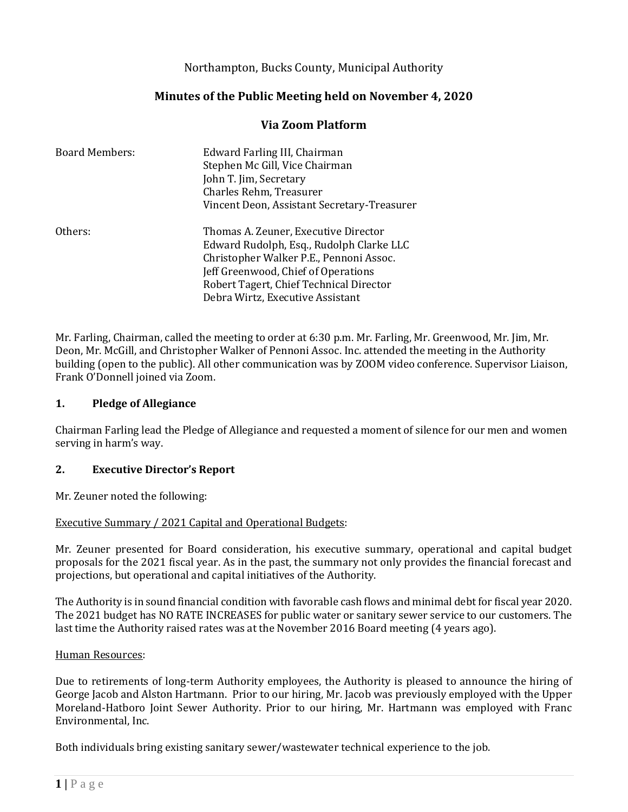### Northampton, Bucks County, Municipal Authority

# **Minutes of the Public Meeting held on November 4, 2020**

#### **Via Zoom Platform**

| <b>Board Members:</b> | Edward Farling III, Chairman<br>Stephen Mc Gill, Vice Chairman<br>John T. Jim, Secretary<br>Charles Rehm, Treasurer<br>Vincent Deon, Assistant Secretary-Treasurer                                                                                |
|-----------------------|---------------------------------------------------------------------------------------------------------------------------------------------------------------------------------------------------------------------------------------------------|
| Others:               | Thomas A. Zeuner, Executive Director<br>Edward Rudolph, Esq., Rudolph Clarke LLC<br>Christopher Walker P.E., Pennoni Assoc.<br>Jeff Greenwood, Chief of Operations<br>Robert Tagert, Chief Technical Director<br>Debra Wirtz, Executive Assistant |

Mr. Farling, Chairman, called the meeting to order at 6:30 p.m. Mr. Farling, Mr. Greenwood, Mr. Jim, Mr. Deon, Mr. McGill, and Christopher Walker of Pennoni Assoc. Inc. attended the meeting in the Authority building (open to the public). All other communication was by ZOOM video conference. Supervisor Liaison, Frank O'Donnell joined via Zoom.

#### **1. Pledge of Allegiance**

Chairman Farling lead the Pledge of Allegiance and requested a moment of silence for our men and women serving in harm's way.

#### **2. Executive Director's Report**

Mr. Zeuner noted the following:

#### Executive Summary / 2021 Capital and Operational Budgets:

Mr. Zeuner presented for Board consideration, his executive summary, operational and capital budget proposals for the 2021 fiscal year. As in the past, the summary not only provides the financial forecast and projections, but operational and capital initiatives of the Authority.

The Authority is in sound financial condition with favorable cash flows and minimal debt for fiscal year 2020. The 2021 budget has NO RATE INCREASES for public water or sanitary sewer service to our customers. The last time the Authority raised rates was at the November 2016 Board meeting (4 years ago).

#### Human Resources:

Due to retirements of long-term Authority employees, the Authority is pleased to announce the hiring of George Jacob and Alston Hartmann. Prior to our hiring, Mr. Jacob was previously employed with the Upper Moreland-Hatboro Joint Sewer Authority. Prior to our hiring, Mr. Hartmann was employed with Franc Environmental, Inc.

Both individuals bring existing sanitary sewer/wastewater technical experience to the job.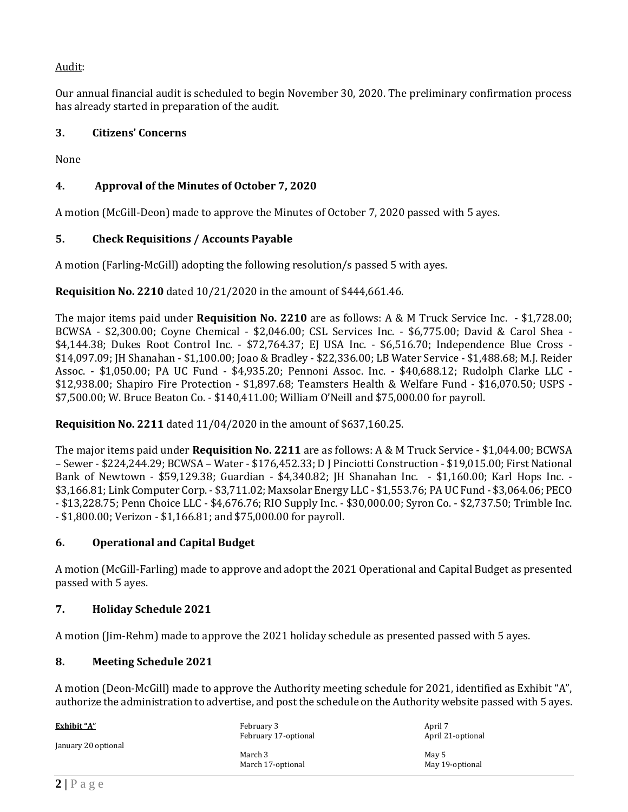Audit:

Our annual financial audit is scheduled to begin November 30, 2020. The preliminary confirmation process has already started in preparation of the audit.

# **3. Citizens' Concerns**

None

# **4. Approval of the Minutes of October 7, 2020**

A motion (McGill-Deon) made to approve the Minutes of October 7, 2020 passed with 5 ayes.

# **5. Check Requisitions / Accounts Payable**

A motion (Farling-McGill) adopting the following resolution/s passed 5 with ayes.

# **Requisition No. 2210** dated 10/21/2020 in the amount of \$444,661.46.

The major items paid under **Requisition No. 2210** are as follows: A & M Truck Service Inc. - \$1,728.00; BCWSA - \$2,300.00; Coyne Chemical - \$2,046.00; CSL Services Inc. - \$6,775.00; David & Carol Shea - \$4,144.38; Dukes Root Control Inc. - \$72,764.37; EJ USA Inc. - \$6,516.70; Independence Blue Cross - \$14,097.09; JH Shanahan - \$1,100.00; Joao & Bradley - \$22,336.00; LB Water Service - \$1,488.68; M.J. Reider Assoc. - \$1,050.00; PA UC Fund - \$4,935.20; Pennoni Assoc. Inc. - \$40,688.12; Rudolph Clarke LLC - \$12,938.00; Shapiro Fire Protection - \$1,897.68; Teamsters Health & Welfare Fund - \$16,070.50; USPS - \$7,500.00; W. Bruce Beaton Co. - \$140,411.00; William O'Neill and \$75,000.00 for payroll.

**Requisition No. 2211** dated 11/04/2020 in the amount of \$637,160.25.

The major items paid under **Requisition No. 2211** are as follows: A & M Truck Service - \$1,044.00; BCWSA – Sewer - \$224,244.29; BCWSA – Water - \$176,452.33; D J Pinciotti Construction - \$19,015.00; First National Bank of Newtown - \$59,129.38; Guardian - \$4,340.82; JH Shanahan Inc. - \$1,160.00; Karl Hops Inc. - \$3,166.81; Link Computer Corp. - \$3,711.02; Maxsolar Energy LLC - \$1,553.76; PA UC Fund - \$3,064.06; PECO - \$13,228.75; Penn Choice LLC - \$4,676.76; RIO Supply Inc. - \$30,000.00; Syron Co. - \$2,737.50; Trimble Inc. - \$1,800.00; Verizon - \$1,166.81; and \$75,000.00 for payroll.

# **6. Operational and Capital Budget**

A motion (McGill-Farling) made to approve and adopt the 2021 Operational and Capital Budget as presented passed with 5 ayes.

# **7. Holiday Schedule 2021**

A motion (Jim-Rehm) made to approve the 2021 holiday schedule as presented passed with 5 ayes.

# **8. Meeting Schedule 2021**

A motion (Deon-McGill) made to approve the Authority meeting schedule for 2021, identified as Exhibit "A", authorize the administration to advertise, and post the schedule on the Authority website passed with 5 ayes.

**Exhibit "A"**

January 20 optional

February 3 February 17-optional

March 3 March 17-optional

April 7 April 21-optional

May 5 May 19-optional